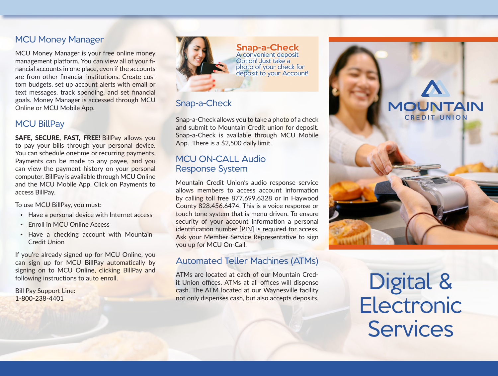## MCU Money Manager

MCU Money Manager is your free online money management platform. You can view all of your financial accounts in one place, even if the accounts are from other financial institutions. Create custom budgets, set up account alerts with email or text messages, track spending, and set financial goals. Money Manager is accessed through MCU Online or MCU Mobile App.

### MCU BillPay

SAFE, SECURE, FAST, FREE! BillPay allows you to pay your bills through your personal device. You can schedule onetime or recurring payments. Payments can be made to any payee, and you can view the payment history on your personal computer. BillPay is available through MCU Online and the MCU Mobile App. Click on Payments to access BillPay.

To use MCU BillPay, you must:

- Have a personal device with Internet access
- Enroll in MCU Online Access
- Have a checking account with Mountain Credit Union

If you're already signed up for MCU Online, you can sign up for MCU BillPay automatically by signing on to MCU Online, clicking BillPay and following instructions to auto enroll.

Bill Pay Support Line: 1-800-238-4401



Snap-a-Check A convenient deposit A convenient deposit Option! Just take a Option! Just take a photo of your check for photo of your check for deposit to your Account! deposit to your Account!

# Snap-a-Check

Snap-a-Check allows you to take a photo of a check and submit to Mountain Credit union for deposit. Snap-a-Check is available through MCU Mobile App. There is a \$2,500 daily limit.

## MCU ON-CALL Audio Response System

Mountain Credit Union's audio response service allows members to access account information by calling toll free 877.699.6328 or in Haywood County 828.456.6474. This is a voice response or touch tone system that is menu driven. To ensure security of your account information a personal identification number [PIN] is required for access. Ask your Member Service Representative to sign you up for MCU On-Call.

## Automated Teller Machines (ATMs)

ATMs are located at each of our Mountain Credit Union offices. ATMs at all offices will dispense cash. The ATM located at our Waynesville facility not only dispenses cash, but also accepts deposits.



Digital & **Electronic Services**